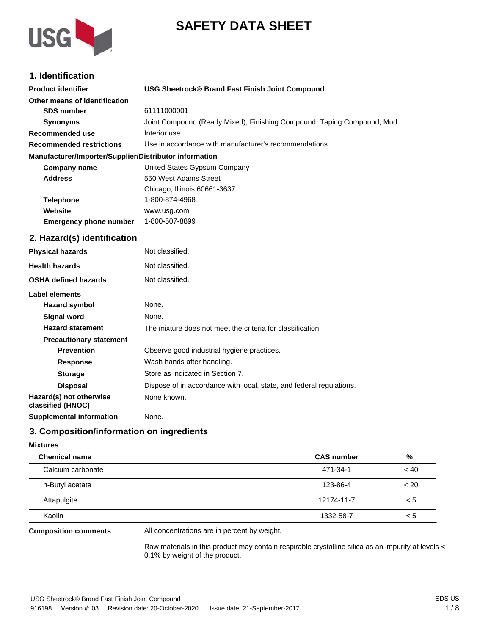



# **1. Identification**

| <b>Product identifier</b>                              | <b>USG Sheetrock® Brand Fast Finish Joint Compound</b>                 |
|--------------------------------------------------------|------------------------------------------------------------------------|
| Other means of identification                          |                                                                        |
| <b>SDS number</b>                                      | 61111000001                                                            |
| <b>Synonyms</b>                                        | Joint Compound (Ready Mixed), Finishing Compound, Taping Compound, Mud |
| <b>Recommended use</b>                                 | Interior use.                                                          |
| <b>Recommended restrictions</b>                        | Use in accordance with manufacturer's recommendations.                 |
| Manufacturer/Importer/Supplier/Distributor information |                                                                        |
| <b>Company name</b>                                    | United States Gypsum Company                                           |
| <b>Address</b>                                         | 550 West Adams Street                                                  |
|                                                        | Chicago, Illinois 60661-3637                                           |
| <b>Telephone</b>                                       | 1-800-874-4968                                                         |
| Website                                                | www.usg.com                                                            |
| <b>Emergency phone number</b>                          | 1-800-507-8899                                                         |
| 2. Hazard(s) identification                            |                                                                        |
| <b>Physical hazards</b>                                | Not classified.                                                        |
| <b>Health hazards</b>                                  | Not classified.                                                        |
| <b>OSHA defined hazards</b>                            | Not classified.                                                        |
| <b>Label elements</b>                                  |                                                                        |
| <b>Hazard symbol</b>                                   | None.                                                                  |
| <b>Signal word</b>                                     | None.                                                                  |
| <b>Hazard statement</b>                                | The mixture does not meet the criteria for classification.             |
| <b>Precautionary statement</b>                         |                                                                        |
| <b>Prevention</b>                                      | Observe good industrial hygiene practices.                             |
| Response                                               | Wash hands after handling.                                             |
| <b>Storage</b>                                         | Store as indicated in Section 7.                                       |
| <b>Disposal</b>                                        | Dispose of in accordance with local, state, and federal regulations.   |
| Hazard(s) not otherwise<br>classified (HNOC)           | None known.                                                            |
| <b>Supplemental information</b>                        | None.                                                                  |

### **3. Composition/information on ingredients**

| <b>Mixtures</b>      |                   |       |
|----------------------|-------------------|-------|
| <b>Chemical name</b> | <b>CAS number</b> | %     |
| Calcium carbonate    | 471-34-1          | ~< 40 |
| n-Butyl acetate      | 123-86-4          | < 20  |
| Attapulgite          | 12174-11-7        | < 5   |
| Kaolin               | 1332-58-7         | < 5   |

#### **Composition comments**

All concentrations are in percent by weight.

Raw materials in this product may contain respirable crystalline silica as an impurity at levels < 0.1% by weight of the product.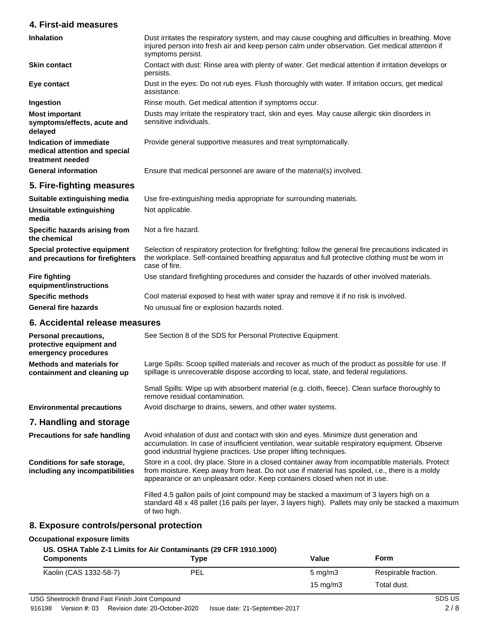### **4. First-aid measures**

| <b>Inhalation</b>                                                            | Dust irritates the respiratory system, and may cause coughing and difficulties in breathing. Move<br>injured person into fresh air and keep person calm under observation. Get medical attention if<br>symptoms persist.                                                         |  |
|------------------------------------------------------------------------------|----------------------------------------------------------------------------------------------------------------------------------------------------------------------------------------------------------------------------------------------------------------------------------|--|
| <b>Skin contact</b>                                                          | Contact with dust: Rinse area with plenty of water. Get medical attention if irritation develops or<br>persists.                                                                                                                                                                 |  |
| Eye contact                                                                  | Dust in the eyes: Do not rub eyes. Flush thoroughly with water. If irritation occurs, get medical<br>assistance.                                                                                                                                                                 |  |
| Ingestion                                                                    | Rinse mouth. Get medical attention if symptoms occur.                                                                                                                                                                                                                            |  |
| <b>Most important</b><br>symptoms/effects, acute and<br>delayed              | Dusts may irritate the respiratory tract, skin and eyes. May cause allergic skin disorders in<br>sensitive individuals.                                                                                                                                                          |  |
| Indication of immediate<br>medical attention and special<br>treatment needed | Provide general supportive measures and treat symptomatically.                                                                                                                                                                                                                   |  |
| <b>General information</b>                                                   | Ensure that medical personnel are aware of the material(s) involved.                                                                                                                                                                                                             |  |
| 5. Fire-fighting measures                                                    |                                                                                                                                                                                                                                                                                  |  |
| Suitable extinguishing media                                                 | Use fire-extinguishing media appropriate for surrounding materials.                                                                                                                                                                                                              |  |
| Unsuitable extinguishing<br>media                                            | Not applicable.                                                                                                                                                                                                                                                                  |  |
| Specific hazards arising from<br>the chemical                                | Not a fire hazard.                                                                                                                                                                                                                                                               |  |
| Special protective equipment<br>and precautions for firefighters             | Selection of respiratory protection for firefighting: follow the general fire precautions indicated in<br>the workplace. Self-contained breathing apparatus and full protective clothing must be worn in<br>case of fire.                                                        |  |
| <b>Fire fighting</b><br>equipment/instructions                               | Use standard firefighting procedures and consider the hazards of other involved materials.                                                                                                                                                                                       |  |
| <b>Specific methods</b>                                                      | Cool material exposed to heat with water spray and remove it if no risk is involved.                                                                                                                                                                                             |  |
| <b>General fire hazards</b>                                                  | No unusual fire or explosion hazards noted.                                                                                                                                                                                                                                      |  |
| 6. Accidental release measures                                               |                                                                                                                                                                                                                                                                                  |  |
| Personal precautions,<br>protective equipment and<br>emergency procedures    | See Section 8 of the SDS for Personal Protective Equipment.                                                                                                                                                                                                                      |  |
| <b>Methods and materials for</b><br>containment and cleaning up              | Large Spills: Scoop spilled materials and recover as much of the product as possible for use. If<br>spillage is unrecoverable dispose according to local, state, and federal regulations.                                                                                        |  |
|                                                                              | Small Spills: Wipe up with absorbent material (e.g. cloth, fleece). Clean surface thoroughly to<br>remove residual contamination.                                                                                                                                                |  |
| <b>Environmental precautions</b>                                             | Avoid discharge to drains, sewers, and other water systems.                                                                                                                                                                                                                      |  |
| 7. Handling and storage                                                      |                                                                                                                                                                                                                                                                                  |  |
| <b>Precautions for safe handling</b>                                         | Avoid inhalation of dust and contact with skin and eyes. Minimize dust generation and<br>accumulation. In case of insufficient ventilation, wear suitable respiratory equipment. Observe<br>good industrial hygiene practices. Use proper lifting techniques.                    |  |
| Conditions for safe storage,<br>including any incompatibilities              | Store in a cool, dry place. Store in a closed container away from incompatible materials. Protect<br>from moisture. Keep away from heat. Do not use if material has spoiled, i.e., there is a moldy<br>appearance or an unpleasant odor. Keep containers closed when not in use. |  |
|                                                                              | Filled 4.5 gallon pails of joint compound may be stacked a maximum of 3 layers high on a<br>standard 48 x 48 pallet (16 pails per layer, 3 layers high). Pallets may only be stacked a maximum<br>of two high.                                                                   |  |

## **8. Exposure controls/personal protection**

#### **Occupational exposure limits**

### **US. OSHA Table Z-1 Limits for Air Contaminants (29 CFR 1910.1000)**

| <b>Components</b>      | Type | Value            | Form                 |
|------------------------|------|------------------|----------------------|
| Kaolin (CAS 1332-58-7) | PEL  | $5 \text{ mg/m}$ | Respirable fraction. |
|                        |      | 15 mg/m $3$      | Total dust.          |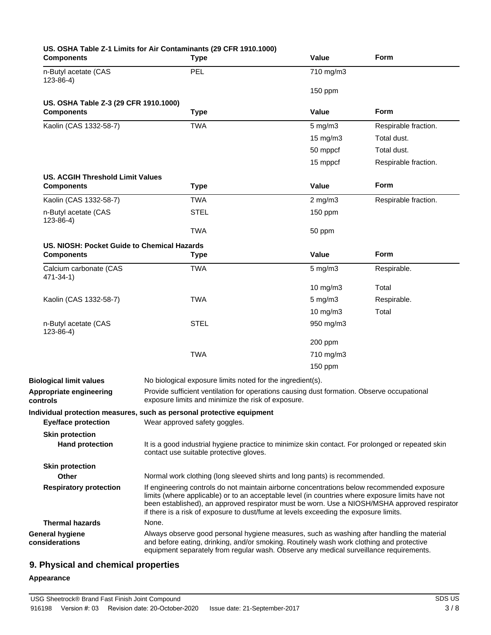| <b>Components</b>                           | US. OSHA Table Z-1 Limits for Air Contaminants (29 CFR 1910.1000)<br><b>Type</b>                                                                                                                                                                                                                                                                                                       | Value             | Form                 |
|---------------------------------------------|----------------------------------------------------------------------------------------------------------------------------------------------------------------------------------------------------------------------------------------------------------------------------------------------------------------------------------------------------------------------------------------|-------------------|----------------------|
| n-Butyl acetate (CAS<br>$123 - 86 - 4$ )    | PEL                                                                                                                                                                                                                                                                                                                                                                                    | 710 mg/m3         |                      |
|                                             |                                                                                                                                                                                                                                                                                                                                                                                        | 150 ppm           |                      |
| US. OSHA Table Z-3 (29 CFR 1910.1000)       |                                                                                                                                                                                                                                                                                                                                                                                        |                   |                      |
| <b>Components</b>                           | <b>Type</b>                                                                                                                                                                                                                                                                                                                                                                            | Value             | Form                 |
| Kaolin (CAS 1332-58-7)                      | <b>TWA</b>                                                                                                                                                                                                                                                                                                                                                                             | $5$ mg/m $3$      | Respirable fraction. |
|                                             |                                                                                                                                                                                                                                                                                                                                                                                        | $15 \text{ mg/m}$ | Total dust.          |
|                                             |                                                                                                                                                                                                                                                                                                                                                                                        | 50 mppcf          | Total dust.          |
|                                             |                                                                                                                                                                                                                                                                                                                                                                                        | 15 mppcf          | Respirable fraction. |
| <b>US. ACGIH Threshold Limit Values</b>     |                                                                                                                                                                                                                                                                                                                                                                                        |                   |                      |
| <b>Components</b>                           | <b>Type</b>                                                                                                                                                                                                                                                                                                                                                                            | Value             | Form                 |
| Kaolin (CAS 1332-58-7)                      | <b>TWA</b>                                                                                                                                                                                                                                                                                                                                                                             | $2$ mg/m $3$      | Respirable fraction. |
| n-Butyl acetate (CAS<br>$123 - 86 - 4$ )    | <b>STEL</b>                                                                                                                                                                                                                                                                                                                                                                            | 150 ppm           |                      |
|                                             | <b>TWA</b>                                                                                                                                                                                                                                                                                                                                                                             | 50 ppm            |                      |
| US. NIOSH: Pocket Guide to Chemical Hazards |                                                                                                                                                                                                                                                                                                                                                                                        |                   |                      |
| <b>Components</b>                           | <b>Type</b>                                                                                                                                                                                                                                                                                                                                                                            | Value             | Form                 |
| Calcium carbonate (CAS<br>471-34-1)         | <b>TWA</b>                                                                                                                                                                                                                                                                                                                                                                             | $5$ mg/m $3$      | Respirable.          |
|                                             |                                                                                                                                                                                                                                                                                                                                                                                        | 10 $mg/m3$        | Total                |
| Kaolin (CAS 1332-58-7)                      | <b>TWA</b>                                                                                                                                                                                                                                                                                                                                                                             | 5 mg/m3           | Respirable.          |
|                                             |                                                                                                                                                                                                                                                                                                                                                                                        | $10$ mg/m $3$     | Total                |
| n-Butyl acetate (CAS<br>$123 - 86 - 4$      | <b>STEL</b>                                                                                                                                                                                                                                                                                                                                                                            | 950 mg/m3         |                      |
|                                             |                                                                                                                                                                                                                                                                                                                                                                                        | 200 ppm           |                      |
|                                             | <b>TWA</b>                                                                                                                                                                                                                                                                                                                                                                             | 710 mg/m3         |                      |
|                                             |                                                                                                                                                                                                                                                                                                                                                                                        | 150 ppm           |                      |
| <b>Biological limit values</b>              | No biological exposure limits noted for the ingredient(s).                                                                                                                                                                                                                                                                                                                             |                   |                      |
| Appropriate engineering<br>controls         | Provide sufficient ventilation for operations causing dust formation. Observe occupational<br>exposure limits and minimize the risk of exposure.                                                                                                                                                                                                                                       |                   |                      |
| <b>Eye/face protection</b>                  | Individual protection measures, such as personal protective equipment<br>Wear approved safety goggles.                                                                                                                                                                                                                                                                                 |                   |                      |
| <b>Skin protection</b>                      |                                                                                                                                                                                                                                                                                                                                                                                        |                   |                      |
| <b>Hand protection</b>                      | It is a good industrial hygiene practice to minimize skin contact. For prolonged or repeated skin<br>contact use suitable protective gloves.                                                                                                                                                                                                                                           |                   |                      |
| <b>Skin protection</b>                      |                                                                                                                                                                                                                                                                                                                                                                                        |                   |                      |
| Other                                       | Normal work clothing (long sleeved shirts and long pants) is recommended.                                                                                                                                                                                                                                                                                                              |                   |                      |
| <b>Respiratory protection</b>               | If engineering controls do not maintain airborne concentrations below recommended exposure<br>limits (where applicable) or to an acceptable level (in countries where exposure limits have not<br>been established), an approved respirator must be worn. Use a NIOSH/MSHA approved respirator<br>if there is a risk of exposure to dust/fume at levels exceeding the exposure limits. |                   |                      |
| <b>Thermal hazards</b>                      | None.                                                                                                                                                                                                                                                                                                                                                                                  |                   |                      |
| <b>General hygiene</b><br>considerations    | Always observe good personal hygiene measures, such as washing after handling the material<br>and before eating, drinking, and/or smoking. Routinely wash work clothing and protective<br>equipment separately from regular wash. Observe any medical surveillance requirements.                                                                                                       |                   |                      |

# **9. Physical and chemical properties**

### **Appearance**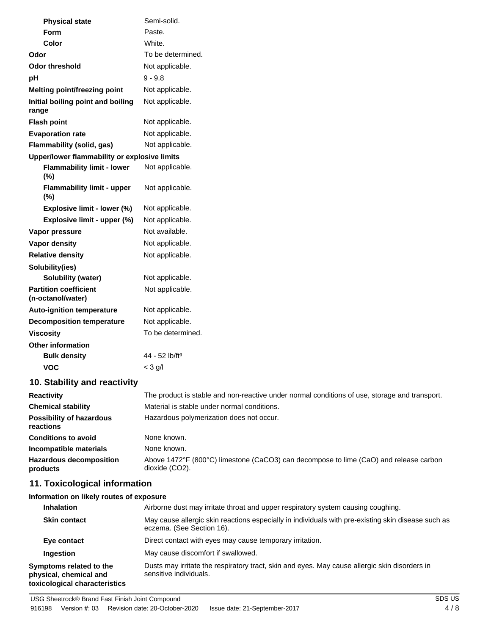| <b>Physical state</b>                             | Semi-solid.                                                                                             |
|---------------------------------------------------|---------------------------------------------------------------------------------------------------------|
| <b>Form</b>                                       | Paste.                                                                                                  |
| Color                                             | White.                                                                                                  |
| Odor                                              | To be determined.                                                                                       |
| <b>Odor threshold</b>                             | Not applicable.                                                                                         |
| рH                                                | $9 - 9.8$                                                                                               |
| <b>Melting point/freezing point</b>               | Not applicable.                                                                                         |
| Initial boiling point and boiling<br>range        | Not applicable.                                                                                         |
| <b>Flash point</b>                                | Not applicable.                                                                                         |
| <b>Evaporation rate</b>                           | Not applicable.                                                                                         |
| Flammability (solid, gas)                         | Not applicable.                                                                                         |
| Upper/lower flammability or explosive limits      |                                                                                                         |
| <b>Flammability limit - lower</b><br>$(\%)$       | Not applicable.                                                                                         |
| <b>Flammability limit - upper</b><br>$(\%)$       | Not applicable.                                                                                         |
| Explosive limit - lower (%)                       | Not applicable.                                                                                         |
| Explosive limit - upper (%)                       | Not applicable.                                                                                         |
| Vapor pressure                                    | Not available.                                                                                          |
| Vapor density                                     | Not applicable.                                                                                         |
| <b>Relative density</b>                           | Not applicable.                                                                                         |
| Solubility(ies)                                   |                                                                                                         |
| Solubility (water)                                | Not applicable.                                                                                         |
| <b>Partition coefficient</b><br>(n-octanol/water) | Not applicable.                                                                                         |
| <b>Auto-ignition temperature</b>                  | Not applicable.                                                                                         |
| <b>Decomposition temperature</b>                  | Not applicable.                                                                                         |
| <b>Viscosity</b>                                  | To be determined.                                                                                       |
| <b>Other information</b>                          |                                                                                                         |
| <b>Bulk density</b>                               | 44 - 52 lb/ft <sup>3</sup>                                                                              |
| <b>VOC</b>                                        | $<$ 3 g/l                                                                                               |
| 10. Stability and reactivity                      |                                                                                                         |
| <b>Reactivity</b>                                 | The product is stable and non-reactive under normal conditions of use, storage and transport.           |
| <b>Chemical stability</b>                         | Material is stable under normal conditions.                                                             |
| <b>Possibility of hazardous</b><br>reactions      | Hazardous polymerization does not occur.                                                                |
| <b>Conditions to avoid</b>                        | None known.                                                                                             |
| Incompatible materials                            | None known.                                                                                             |
| <b>Hazardous decomposition</b><br>products        | Above 1472°F (800°C) limestone (CaCO3) can decompose to lime (CaO) and release carbon<br>dioxide (CO2). |
| 11. Toxicological information                     |                                                                                                         |

**Information on likely routes of exposure**

| <b>Inhalation</b>                                                                  | Airborne dust may irritate throat and upper respiratory system causing coughing.                                                |
|------------------------------------------------------------------------------------|---------------------------------------------------------------------------------------------------------------------------------|
| <b>Skin contact</b>                                                                | May cause allergic skin reactions especially in individuals with pre-existing skin disease such as<br>eczema. (See Section 16). |
| Eye contact                                                                        | Direct contact with eyes may cause temporary irritation.                                                                        |
| Ingestion                                                                          | May cause discomfort if swallowed.                                                                                              |
| Symptoms related to the<br>physical, chemical and<br>toxicological characteristics | Dusts may irritate the respiratory tract, skin and eyes. May cause allergic skin disorders in<br>sensitive individuals.         |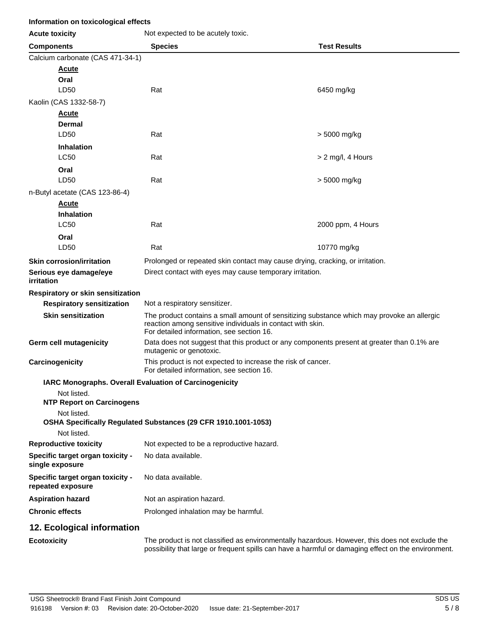### **Information on toxicological effects**

| <b>Acute toxicity</b>                                         | Not expected to be acutely toxic.                                                                                                                                                                     |                     |  |
|---------------------------------------------------------------|-------------------------------------------------------------------------------------------------------------------------------------------------------------------------------------------------------|---------------------|--|
| <b>Components</b>                                             | <b>Species</b>                                                                                                                                                                                        | <b>Test Results</b> |  |
| Calcium carbonate (CAS 471-34-1)                              |                                                                                                                                                                                                       |                     |  |
| <b>Acute</b>                                                  |                                                                                                                                                                                                       |                     |  |
| Oral<br>LD50                                                  | Rat                                                                                                                                                                                                   | 6450 mg/kg          |  |
| Kaolin (CAS 1332-58-7)                                        |                                                                                                                                                                                                       |                     |  |
| <b>Acute</b>                                                  |                                                                                                                                                                                                       |                     |  |
| Dermal                                                        |                                                                                                                                                                                                       |                     |  |
| LD50                                                          | Rat                                                                                                                                                                                                   | > 5000 mg/kg        |  |
| <b>Inhalation</b>                                             |                                                                                                                                                                                                       |                     |  |
| <b>LC50</b>                                                   | Rat                                                                                                                                                                                                   | > 2 mg/l, 4 Hours   |  |
| Oral<br>LD50                                                  | Rat                                                                                                                                                                                                   | > 5000 mg/kg        |  |
| n-Butyl acetate (CAS 123-86-4)                                |                                                                                                                                                                                                       |                     |  |
| <b>Acute</b>                                                  |                                                                                                                                                                                                       |                     |  |
| <b>Inhalation</b>                                             |                                                                                                                                                                                                       |                     |  |
| <b>LC50</b>                                                   | Rat                                                                                                                                                                                                   | 2000 ppm, 4 Hours   |  |
| Oral                                                          |                                                                                                                                                                                                       |                     |  |
| LD50                                                          | Rat                                                                                                                                                                                                   | 10770 mg/kg         |  |
| <b>Skin corrosion/irritation</b>                              | Prolonged or repeated skin contact may cause drying, cracking, or irritation.                                                                                                                         |                     |  |
| Serious eye damage/eye<br>irritation                          | Direct contact with eyes may cause temporary irritation.                                                                                                                                              |                     |  |
| Respiratory or skin sensitization                             |                                                                                                                                                                                                       |                     |  |
| <b>Respiratory sensitization</b>                              | Not a respiratory sensitizer.                                                                                                                                                                         |                     |  |
| <b>Skin sensitization</b>                                     | The product contains a small amount of sensitizing substance which may provoke an allergic<br>reaction among sensitive individuals in contact with skin.<br>For detailed information, see section 16. |                     |  |
| <b>Germ cell mutagenicity</b>                                 | Data does not suggest that this product or any components present at greater than 0.1% are<br>mutagenic or genotoxic.                                                                                 |                     |  |
| Carcinogenicity                                               | This product is not expected to increase the risk of cancer.<br>For detailed information, see section 16.                                                                                             |                     |  |
| <b>IARC Monographs. Overall Evaluation of Carcinogenicity</b> |                                                                                                                                                                                                       |                     |  |
| Not listed.<br><b>NTP Report on Carcinogens</b>               |                                                                                                                                                                                                       |                     |  |
| Not listed.                                                   | OSHA Specifically Regulated Substances (29 CFR 1910.1001-1053)                                                                                                                                        |                     |  |
| Not listed.                                                   |                                                                                                                                                                                                       |                     |  |
| <b>Reproductive toxicity</b>                                  | Not expected to be a reproductive hazard.                                                                                                                                                             |                     |  |
| Specific target organ toxicity -<br>single exposure           | No data available.                                                                                                                                                                                    |                     |  |
| Specific target organ toxicity -<br>repeated exposure         | No data available.                                                                                                                                                                                    |                     |  |
| <b>Aspiration hazard</b>                                      | Not an aspiration hazard.                                                                                                                                                                             |                     |  |
| <b>Chronic effects</b>                                        | Prolonged inhalation may be harmful.                                                                                                                                                                  |                     |  |
| 12. Ecological information                                    |                                                                                                                                                                                                       |                     |  |
| <b>Ecotoxicity</b>                                            | The product is not classified as environmentally hazardous. However, this does not exclude the<br>possibility that large or frequent spills can have a harmful or damaging effect on the environment. |                     |  |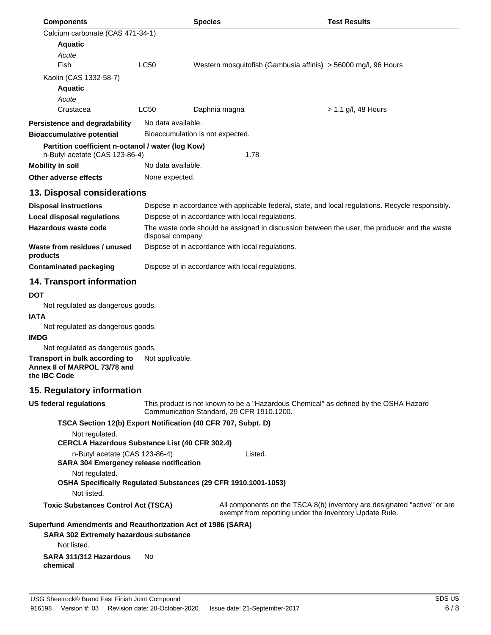| <b>Components</b>                                                                                   |                    | <b>Species</b>                                                 | <b>Test Results</b>                                                                                                                |
|-----------------------------------------------------------------------------------------------------|--------------------|----------------------------------------------------------------|------------------------------------------------------------------------------------------------------------------------------------|
| Calcium carbonate (CAS 471-34-1)                                                                    |                    |                                                                |                                                                                                                                    |
| <b>Aquatic</b>                                                                                      |                    |                                                                |                                                                                                                                    |
| Acute                                                                                               |                    |                                                                |                                                                                                                                    |
| Fish                                                                                                | LC50               |                                                                | Western mosquitofish (Gambusia affinis) > 56000 mg/l, 96 Hours                                                                     |
| Kaolin (CAS 1332-58-7)                                                                              |                    |                                                                |                                                                                                                                    |
| <b>Aquatic</b>                                                                                      |                    |                                                                |                                                                                                                                    |
| Acute                                                                                               |                    |                                                                |                                                                                                                                    |
| Crustacea                                                                                           | LC50               | Daphnia magna                                                  | $> 1.1$ g/l, 48 Hours                                                                                                              |
| <b>Persistence and degradability</b>                                                                | No data available. |                                                                |                                                                                                                                    |
| <b>Bioaccumulative potential</b>                                                                    |                    | Bioaccumulation is not expected.                               |                                                                                                                                    |
| Partition coefficient n-octanol / water (log Kow)<br>n-Butyl acetate (CAS 123-86-4)                 |                    | 1.78                                                           |                                                                                                                                    |
| <b>Mobility in soil</b>                                                                             | No data available. |                                                                |                                                                                                                                    |
| <b>Other adverse effects</b>                                                                        | None expected.     |                                                                |                                                                                                                                    |
| 13. Disposal considerations                                                                         |                    |                                                                |                                                                                                                                    |
| <b>Disposal instructions</b>                                                                        |                    |                                                                | Dispose in accordance with applicable federal, state, and local regulations. Recycle responsibly.                                  |
| <b>Local disposal regulations</b>                                                                   |                    | Dispose of in accordance with local regulations.               |                                                                                                                                    |
| Hazardous waste code                                                                                | disposal company.  |                                                                | The waste code should be assigned in discussion between the user, the producer and the waste                                       |
| Waste from residues / unused<br>products                                                            |                    | Dispose of in accordance with local regulations.               |                                                                                                                                    |
| <b>Contaminated packaging</b>                                                                       |                    | Dispose of in accordance with local regulations.               |                                                                                                                                    |
| <b>14. Transport information</b>                                                                    |                    |                                                                |                                                                                                                                    |
| <b>DOT</b><br>Not regulated as dangerous goods.<br><b>IATA</b><br>Not regulated as dangerous goods. |                    |                                                                |                                                                                                                                    |
| <b>IMDG</b>                                                                                         |                    |                                                                |                                                                                                                                    |
| Not regulated as dangerous goods.                                                                   |                    |                                                                |                                                                                                                                    |
| Transport in bulk according to<br>Annex II of MARPOL 73/78 and<br>the IBC Code                      | Not applicable.    |                                                                |                                                                                                                                    |
| 15. Regulatory information                                                                          |                    |                                                                |                                                                                                                                    |
| US federal regulations                                                                              |                    | Communication Standard, 29 CFR 1910.1200.                      | This product is not known to be a "Hazardous Chemical" as defined by the OSHA Hazard                                               |
|                                                                                                     |                    | TSCA Section 12(b) Export Notification (40 CFR 707, Subpt. D)  |                                                                                                                                    |
| Not regulated.                                                                                      |                    |                                                                |                                                                                                                                    |
| <b>CERCLA Hazardous Substance List (40 CFR 302.4)</b>                                               |                    |                                                                |                                                                                                                                    |
| n-Butyl acetate (CAS 123-86-4)<br><b>SARA 304 Emergency release notification</b>                    |                    | Listed.                                                        |                                                                                                                                    |
| Not regulated.<br>Not listed.                                                                       |                    | OSHA Specifically Regulated Substances (29 CFR 1910.1001-1053) |                                                                                                                                    |
| <b>Toxic Substances Control Act (TSCA)</b>                                                          |                    |                                                                | All components on the TSCA 8(b) inventory are designated "active" or are<br>exempt from reporting under the Inventory Update Rule. |
| Superfund Amendments and Reauthorization Act of 1986 (SARA)                                         |                    |                                                                |                                                                                                                                    |
| SARA 302 Extremely hazardous substance<br>Not listed.                                               |                    |                                                                |                                                                                                                                    |
| SARA 311/312 Hazardous<br>chemical                                                                  | No                 |                                                                |                                                                                                                                    |
|                                                                                                     |                    |                                                                |                                                                                                                                    |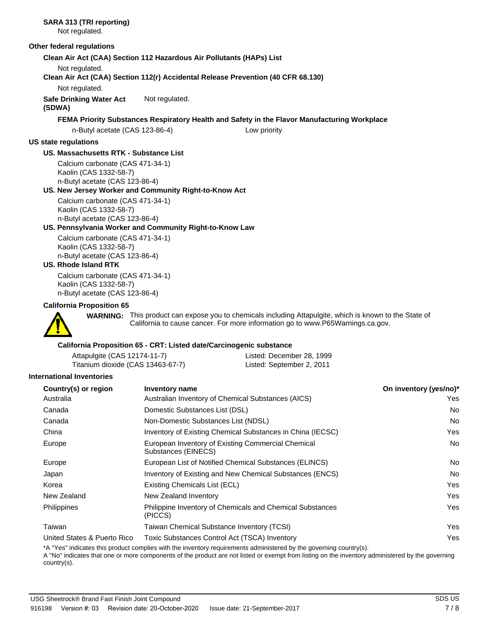**SARA 313 (TRI reporting)** Not regulated. **Other federal regulations Clean Air Act (CAA) Section 112 Hazardous Air Pollutants (HAPs) List** Not regulated. **Clean Air Act (CAA) Section 112(r) Accidental Release Prevention (40 CFR 68.130)** Not regulated. **Safe Drinking Water Act** Not regulated. **(SDWA) FEMA Priority Substances Respiratory Health and Safety in the Flavor Manufacturing Workplace** n-Butyl acetate (CAS 123-86-4) Low priority **US state regulations US. Massachusetts RTK - Substance List** Calcium carbonate (CAS 471-34-1) Kaolin (CAS 1332-58-7) n-Butyl acetate (CAS 123-86-4) **US. New Jersey Worker and Community Right-to-Know Act** Calcium carbonate (CAS 471-34-1) Kaolin (CAS 1332-58-7) n-Butyl acetate (CAS 123-86-4) **US. Pennsylvania Worker and Community Right-to-Know Law** Calcium carbonate (CAS 471-34-1) Kaolin (CAS 1332-58-7) n-Butyl acetate (CAS 123-86-4) **US. Rhode Island RTK** Calcium carbonate (CAS 471-34-1) Kaolin (CAS 1332-58-7) n-Butyl acetate (CAS 123-86-4) **California Proposition 65** WARNING: This product can expose you to chemicals including Attapulgite, which is known to the State of California to cause cancer. For more information go to www.P65Warnings.ca.gov. **California Proposition 65 - CRT: Listed date/Carcinogenic substance** Attapulgite (CAS 12174-11-7) Listed: December 28, 1999 Titanium dioxide (CAS 13463-67-7) **International Inventories Country(s) or region Inventory name On inventory (yes/no)\*** Australia Australian Inventory of Chemical Substances (AICS) Yes Canada Domestic Substances List (DSL) No Canada Non-Domestic Substances List (NDSL) No China **Inventory of Existing Chemical Substances in China (IECSC)** Yes Europe **European Inventory of Existing Commercial Chemical** Motor and Motor No Substances (EINECS) Europe **European List of Notified Chemical Substances (ELINCS)** No **No. 1996** No. Japan **Inventory of Existing and New Chemical Substances (ENCS)** No Report of the Inventory of Existing and New Chemical Substances (ENCS)

Korea **Existing Chemicals List (ECL)** And the Control of the Control of the Control of the Control of the Control of the Control of the Control of the Control of the Control of the Control of the Control of the Control of New Zealand New Zealand Inventory **New York Contract Contract Contract Contract Contract Contract Contract Contract Contract Contract Contract Contract Contract Contract Contract Contract Contract Contract Contract Contrac** Philippine Inventory of Chemicals and Chemical Substances Philippines Yes (PICCS) Taiwan Taiwan Chemical Substance Inventory (TCSI) Yes United States & Puerto Rico Toxic Substances Control Act (TSCA) Inventory Yes

\*A "Yes" indicates this product complies with the inventory requirements administered by the governing country(s).

A "No" indicates that one or more components of the product are not listed or exempt from listing on the inventory administered by the governing country(s).